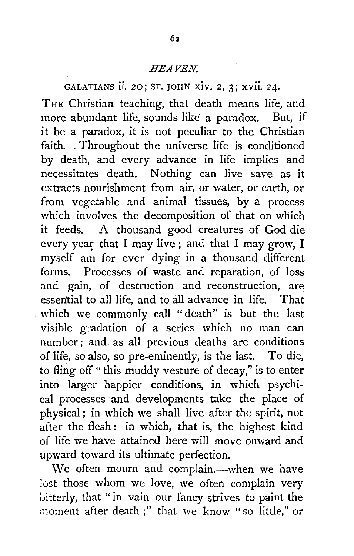GALATIANS ii. 20; ST. JOHN xiv. 2, 3; xvii. 24. THE Christian teaching, that death means life, and more abundant life, sounds like a paradox. But, if it be a paradox, it is not peculiar to the Christian faith. . Throughout the universe life is conditioned by death, and every advance in life implies and necessitates death. Nothing can live save as it extracts nourishment from air, or water, or earth, or from vegetable and animal tissues, by a process which involves the decomposition of that on which it feeds. A thousand good creatures of God die every year that I may live; and that I may grow, I myself am for ever dying in a thousand different forms. Processes of waste and reparation, of loss and gain, of destruction and reconstruction, are essen'tial to all life, and to all advance in life. That which we commonly call "death" is but the last visible gradation of a series which no man can number; and as all previous deaths are conditions of life, so also, so pre-eminently, is the last. To die, to fling off "this muddy vesture of decay," is to enter

into larger happier conditions, in which psychical processes and developments take the place of physical ; in which we shall live after the spirit, not after the flesh: in which, that is, the highest kind of life we have attained here will move onward and upward toward its ultimate perfection.

We often mourn and complain,-when we have lost those whom we love, we often complain very bitterly, that "in vain our fancy strives to paint the moment after death;" that we know "so little," or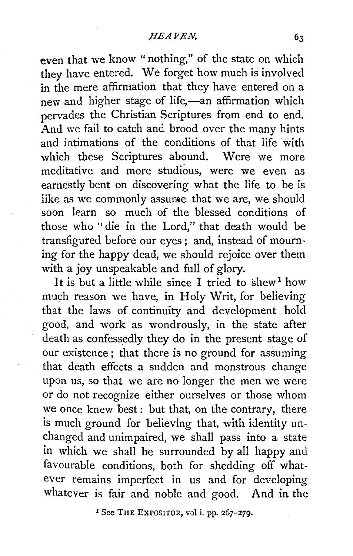even that we know "nothing," of the state on which they have entered. We forget how much is involved in the mere affirmation that they have entered on a new and higher stage of life,-an affirmation which pervades the Christian Scriptures from end to end. And we fail to catch and brood over the many hints and intimations of the conditions of that life with which these Scriptures abound. Were we more meditative and more studious, were we even as earnestly bent on discovering what the life to be is like as we commonly assurate that we are, we should soon learn so much of the blessed conditions of those who ''die in the Lord," that death would be transfigured before our eyes ; and, instead of mourning for the happy dead, we should rejoice over them with a joy unspeakable and full of glory.

It is but a little while since I tried to shew  $1$  how much reason we have, in Holy Writ, for believing that the laws of continuity and development hold good, and work as wondrously, in the state after death as confessedly they do in the present stage of our existence ; that there is no ground for assuming that death effects a sudden and monstrous change upon us, so that we are no longer the men we were or do not recognize either ourselves or those whom we once knew best: but that, on the contrary, there is much ground for believing that, with identity unchanged and unimpaired, we shall pass into a state in which we shall be surrounded by all happy and favourable conditions, both for shedding off whatever remains imperfect in us and for developing whatever is fair and noble and good. And in the

<sup>1</sup> See THE EXPOSITOR, vol i. pp. 267-279.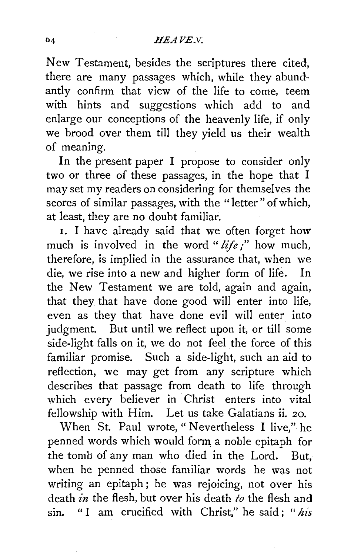# *JIEAVE.V.*

New Testament, besides the scriptures there cited, there are many passages which, while they abundantly confirm that view of the life to come, teem with hints and suggestions which add to and enlarge our conceptions of the heavenly life, if only we brood over them till they yield us their wealth of meaning.

In the present paper I propose to consider only two or three of these passages, in the hope that I may set my readers on considering for themselves the scores of similar passages, with the "letter" of which, at least, they are no doubt familiar.

1. I have already said that we often forget how much is involved in the word " *life;"* how much, therefore, is implied in the assurance that, when we die, we rise into a new and higher form of life. In the New Testament we are told, again and again, that they that have done good will enter into life, even as they that have done evil will enter into judgment. But until we reflect upon it, or till some side-light falls on it, we do not feel the force of this familiar promise. Such a side-light, such an aid to reflection, we may get from any scripture which describes that passage from death to life through which every believer in Christ enters into vital fellowship with Him. Let us take Galatians ii. 20.

When St. Paul wrote, "Nevertheless I live," he penned words which would form a noble epitaph for the tomb of any man who died in the Lord. But, when he penned those familiar words he was not writing an epitaph; he was rejoicing, not over his death *in* the flesh, but over his death *to* the flesh and sm. " I am crucified with Christ," he said ; " *his*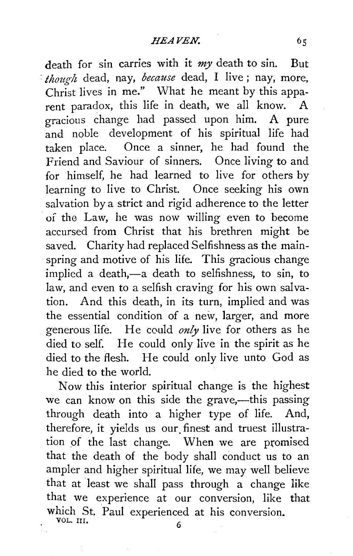death for sin carries with it *my* death to sin. But *·though* dead, nay, *because* dead, I live ; nay, more, Christ lives in me." What he meant by this apparent paradox, this life in death, we all know. A gracious change had passed upon him. A pure and noble development of his spiritual life had taken place. Once a sinner, he had found the Friend and Saviour of sinners. Once living to and for himself, he had learned to live for others by learning to live to Christ. Once seeking his own salvation by a strict and rigid adherence to the letter of the Law, he was now willing even to become accursed from Christ that his brethren might be saved. Charity had replaced Selfishness as the mainspring and motive of his life. This gracious change implied a death,-a death to selfishness, to sin, to law, and even to a selfish craving for his own salvation. And this death, in its turn, implied and was the essential condition of a new, larger, and more generous life. He could *only* live for others as he died to self. He could only live in the spirit as he died to the flesh. He could only live unto God as he died to the world.

Now this interior spiritual change is the highest we can know on this side the grave,---this passing through death into a higher type of life. And, therefore, it yields us our. finest and truest illustration of the last change. When we are promised that the death of the body shall conduct us to an ampler and higher spiritual life, we may well believe that at least we shall pass through a change like that we experience at our conversion, like that which St. Paul experienced at his conversion. VOL. III.  $6<sup>6</sup>$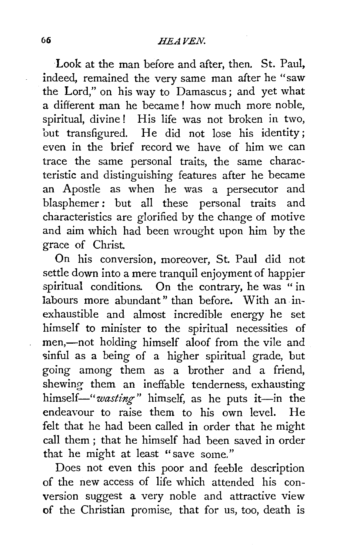Look at the man before and after, then. St. Paul, indeed, remained the very same man after he "saw the Lord," on his way to Damascus ; and yet what a different man he became ! how much more noble, spiritual, divine ! His life was not broken in two, but transfigured. He did not lose his identity; even in the brief record we have of him we can trace the same personal traits, the same characteristic and distinguishing features after he became an Apostle as when he was a persecutor and blasphemer : but all these personal traits and characteristics are glorified by the change of motive and aim which had been wrought upon him by the grace of Christ.

On his conversion, moreover, St. Paul did not settle down into a mere tranquil enjoyment of happier spiritual conditions. On the contrary, he was " in labours more abundant" than before. With an inexhaustible and almost incredible energy he set himself to minister to the spiritual necessities of men,-not holding himself aloof from the vile and sinful as a being of a higher spiritual grade, but going among them as a brother and a friend, shewing them an ineffable tenderness, exhausting himself-"wasting" himself, as he puts it-in the endeavour to raise them to his own level. He felt that he had been called in order that he might call them; that he himself had been saved in order that he might at least "save some."

Does not even this poor and feeble description of the new access of life which attended his conversion suggest a very noble and attractive view of the Christian promise, that for us, too, death is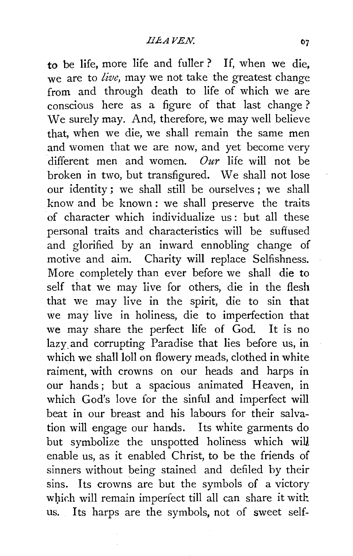to be life, more life and fuller ? If, when we die, we are to *live,* may we not take the greatest change from and through death to life of which we are conscious here as a figure of that last change ? We surely may. And, therefore, we may well believe that, when we die, we shall remain the same men and women that we are now, and yet become very different men and women. *Our* life will not be broken in two, but transfigured. We shall not lose our identity; we shall still be ourselves; we shall know and be known : we shall preserve the traits of character which individualize us: but all these personal traits and characteristics will be suffused and glorified by an inward ennobling change of motive and aim. Charity will replace Selfishness. More completely than ever before we shall die to self that we may live for others, die in the flesh that we may live in the spirit, die to sin that we may live in holiness, die to imperfection that we may share the perfect life of God. It is no lazy.and corrupting Paradise that lies before us, in which we shall loll on flowery meads, clothed in white raiment, with crowns on our heads and harps in our hands; but a spacious animated Heaven, in which God's love for the sinful and imperfect will beat in our breast and his labours for their salvation will engage our hands. Its white garments do but symbolize the unspotted holiness which will enable us, as it enabled Christ, to be the friends of sinners without being stained and defiled by their sins. Its crowns are but the symbols of a victory which will remain imperfect till all can share it with us. Its harps are the symbols, not of sweet self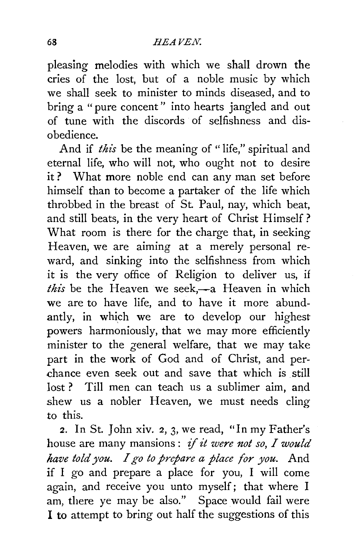pleasing melodies with which we shall drown the cries of the lost, but of a noble music by which we shall seek to minister to minds diseased, and to bring a " pure concent" into hearts jangled and out of tune with the discords of selfishness and disobedience.

And if *this* be the meaning of "life," spiritual and eternal life, who will not, who ought not to desire it ? What more noble end can any man set before himself than to become a partaker of the life which throbbed in the breast of St. Paul, nay, which beat, and still beats, in the very heart of Christ Himself? What room is there for the charge that, in seeking Heaven, we are aiming at a merely personal reward, and sinking into the selfishness from which it is the very office of Religion to deliver us, if this be the Heaven we seek,—a Heaven in which we are to have life, and to have it more abundantly, in which we are to develop our highest powers harmoniously, that we may more efficiently minister to the general welfare, that we may take part in the work of God and of Christ, and perchance even seek out and save that which is still lost? Till men can teach us a sublimer aim, and shew us a nobler Heaven, we must needs cling to this.

2. In St. John xiv. 2, 3, we read, "In my Father's house are many mansions : if *it were not so, I would have told you. I go to prepare a place for you.* And if I go and prepare a place for you, I will come again, and receive you unto myself; that where I am, there ye may be also." Space would fail were I to attempt to bring out half the suggestions of this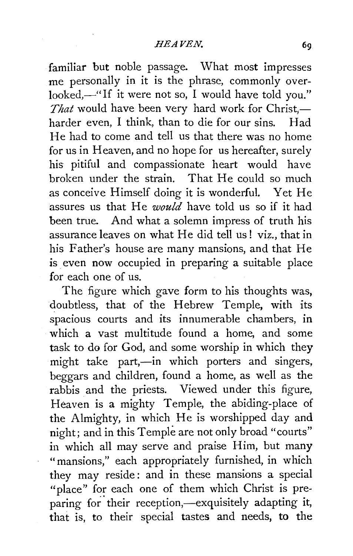familiar but noble passage. What most impresses me personally in it is the phrase, commonly overlooked,—"If it were not so, I would have told you." *That* would have been very hard work for Christ,harder even, I think, than to die for our sins. Had He had to come and tell us that there was no home for us in Heaven, and no hope for us hereafter, surely his pitiful and compassionate heart would have broken under the strain. That He could so much as conceive Himself doing it is wonderful. Yet He assures us that He *would* have told us so if it had been true. And what a solemn impress of truth his assurance leaves on what He did tell us! viz., that in his Father's house are many mansions, and that He is even now occupied in preparing a suitable place for each one of us.

The figure which gave form to his thoughts was, doubtless, that of the Hebrew Temple, with its spacious courts and its innumerable chambers, in which a vast multitude found a home, and some task to do for God, and some worship in which they might take part,-in which porters and singers, beggars and children, found a home, as well as the rabbis and the priests. Viewed under this figure, Heaven is a mighty Temple, the abiding-place of the Almighty, in which He is worshipped day and night; and in this Temple are not only broad "courts" in which all may serve and praise Him, but many "mansions," each appropriately furnished, in which they may reside: and in these mansions a special "place" for each one of them which Christ is preparing for their reception,-exquisitely adapting it, that is, to their special tastes and needs, to the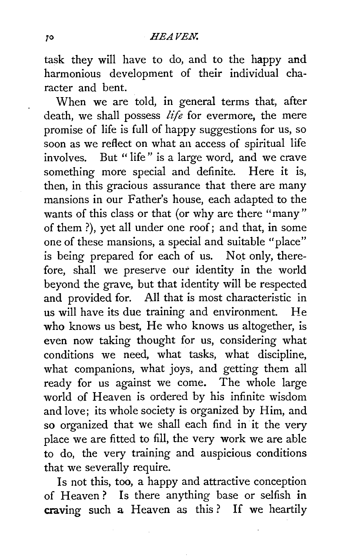task they will have to do, and to the happy and harmonious development of their individual character and bent.

When we are told, in general terms that, after death, we shall possess *life* for evermore, the mere promise of life is full of happy suggestions for us, so soon as we reflect on what an access of spiritual life involves. But " life" is a large word, and we crave something more special and definite. Here it is, then, in this gracious assurance that there are many mansions in our Father's house, each adapted to the wants of this class or that (or why are there "many" of them ?), yet all under one roof; and that, in some one of these mansions, a special and suitable "place" is being prepared for each of us. Not only, therefore, shall we preserve *out* identity in the world beyond the grave, but that identity will be respected and provided for. All that is most characteristic in us will have its due training and environment. He who knows us best, He who knows us altogether, is even now taking thought for us, considering what conditions we need, what tasks, what discipline, what companions, what joys, and getting them all ready for us against we come. The whole large world of Heaven is ordered by his infinite wisdom and love; its whole society is organized by Him, and so organized that we shall each find in it the very place we are fitted to fill, the very work we are able to do, the very trainjng and auspicious conditions that we severally require.

Is not this, too, a happy and attractive conception of Heaven? Is there anything base or selfish in craving such a Heaven as this ? If we heartily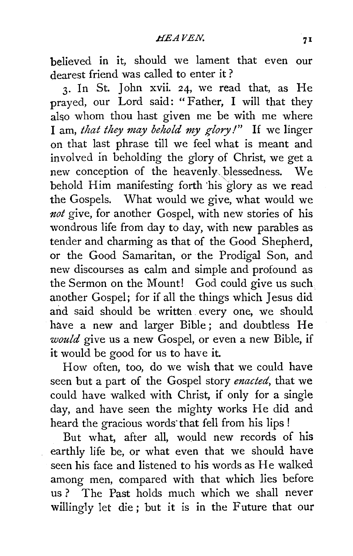believed in it, should we lament that even our dearest friend was called to enter it ?

3. In St. John xvii. 24, we read that, as He prayed, our Lord said: "Father, I will that they also whom thou hast given me be with me where I am, *that they may behold my glory!"* If we linger on that last phrase till we feel what is meant and involved in beholding the glory of Christ, we get a new conception of the heavenly. blessedness. We behold Him manifesting forth 'his glory as we read the Gospels. What would we give, what would we *not* give, for another Gospel, with new stories of his wondrous life from day to day, with new parables as tender and charming as that of the Good Shepherd, or the Good Samaritan, or the Prodigal Son, and new discourses as calm and simple and profound as the Sermon on the Mount! God could give us such another Gospel; for if all the things which Jesus did and said should be written every one, we should have a new and larger Bible; and doubtless He *would* give us a new Gospel, or even a new Bible, if it would be good for us to have it.

How often, too, do we wish that we could have seen but a part of the Gospel story *enacted,* that we could have walked with Christ, if only for a single day, and have seen the mighty works He did and heard the gracious words that fell from his lips !

But what, after all, would new records of his earthly life be, or what even that we should have seen his face and listened to his words as He walked among men, compared with that which lies before us ? The Past holds much which we shall never willingly let die; but it is in the Future that our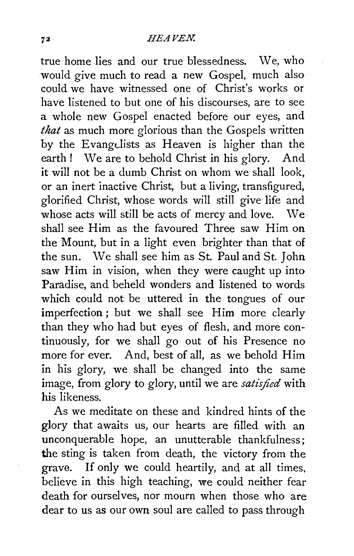true home lies and our true blessedness. We, who would give much to read a new Gospel, much also could we have witnessed one of Christ's works or have listened to but one of his discourses, are to see a whole new Gospel enacted before our eyes, and *that* as much more glorious than the Gospels written by the Evangdists as Heaven is higher than the earth ! We are to behold Christ in his glory. And it will not be a dumb Christ on whom we shall look, or an inert inactive Christ, but a living, transfigured, glorified Christ, whose words will still give life and whose acts will still be acts of mercy and love. We shall see Him as the favoured Three saw Him on the Mount, but in a light even brighter than that of the sun. We shall see him as St. Paul and St. John saw Him in vision, when they were caught up into Paradise, and beheld wonders and listened to words which could not be uttered in the tongues of our imperfection; but we shall see Him more clearly than they who had but eyes of flesh, and more continuously, for we shall go out of his Presence no more for ever. And, best of all, as we behold Him in his glory, we shall be changed into the same image, from glory to glory, until we are *satisfied* with his likeness.

As we meditate on these and kindred hints of the glory that awaits us, our hearts are filled with an unconquerable hope, an unutterable thankfulness; the sting is taken from death, the victory from the grave. If only we could heartily, and at all times, believe in this high teaching, we could neither fear death for ourselves, nor mourn when those who are dear to us as our own soul are called to pass through